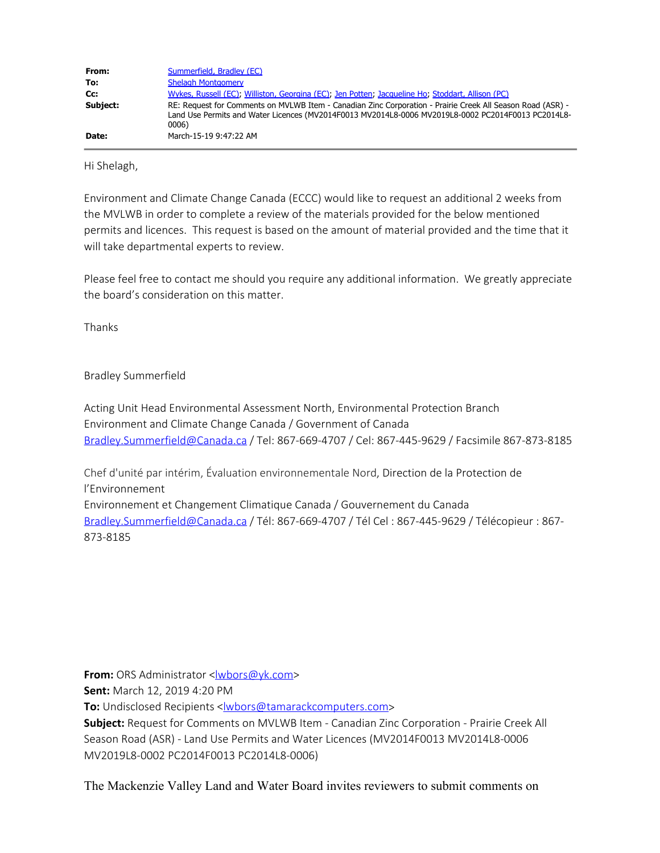| From:    | Summerfield, Bradley (EC)                                                                                                                                                                                                 |
|----------|---------------------------------------------------------------------------------------------------------------------------------------------------------------------------------------------------------------------------|
| To:      | Shelagh Montgomery                                                                                                                                                                                                        |
| Cc:      | Wykes, Russell (EC); Williston, Georgina (EC); Jen Potten; Jacqueline Ho; Stoddart, Allison (PC)                                                                                                                          |
| Subject: | RE: Request for Comments on MVLWB Item - Canadian Zinc Corporation - Prairie Creek All Season Road (ASR) -<br>Land Use Permits and Water Licences (MV2014F0013 MV2014L8-0006 MV2019L8-0002 PC2014F0013 PC2014L8-<br>0006) |
| Date:    | March-15-19 9:47:22 AM                                                                                                                                                                                                    |

Hi Shelagh,

Environment and Climate Change Canada (ECCC) would like to request an additional 2 weeks from the MVLWB in order to complete a review of the materials provided for the below mentioned permits and licences. This request is based on the amount of material provided and the time that it will take departmental experts to review.

Please feel free to contact me should you require any additional information. We greatly appreciate the board's consideration on this matter.

Thanks

Bradley Summerfield

Acting Unit Head Environmental Assessment North, Environmental Protection Branch Environment and Climate Change Canada / Government of Canada [Bradley.Summerfield@Canada.ca](mailto:Bradley.Summerfield@Canada.ca) / Tel: 867-669-4707 / Cel: 867-445-9629 / Facsimile 867-873-8185

Chef d'unité par intérim, Évaluation environnementale Nord, Direction de la Protection de l'Environnement Environnement et Changement Climatique Canada / Gouvernement du Canada [Bradley.Summerfield@Canada.ca](mailto:Bradley.Summerfield@Canada.ca) / Tél: 867-669-4707 / Tél Cel : 867-445-9629 / Télécopieur : 867- 873-8185

**From:** ORS Administrator <[lwbors@yk.com](mailto:lwbors@yk.com)>

**Sent:** March 12, 2019 4:20 PM

**To:** Undisclosed Recipients <**wbors@tamarackcomputers.com>** 

**Subject:** Request for Comments on MVLWB Item - Canadian Zinc Corporation - Prairie Creek All Season Road (ASR) - Land Use Permits and Water Licences (MV2014F0013 MV2014L8-0006 MV2019L8-0002 PC2014F0013 PC2014L8-0006)

The Mackenzie Valley Land and Water Board invites reviewers to submit comments on